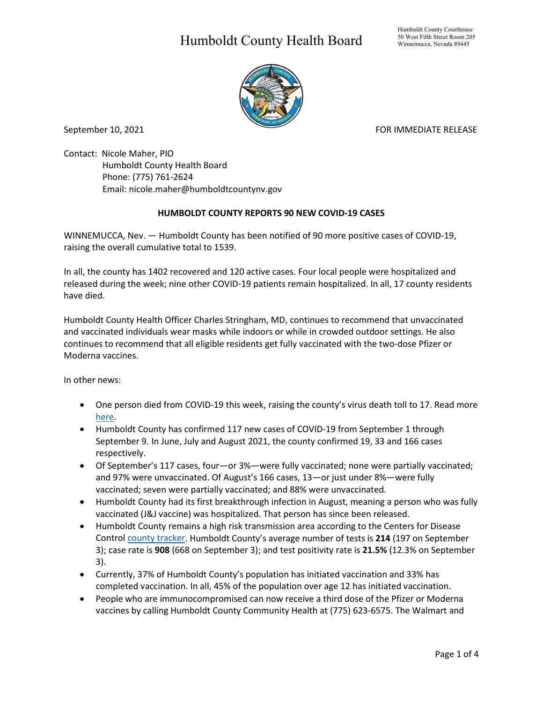## Humboldt County Health Board



September 10, 2021 **FOR IMMEDIATE RELEASE** 

Contact: Nicole Maher, PIO Humboldt County Health Board Phone: (775) 761-2624 Email: nicole.maher@humboldtcountynv.gov

## **HUMBOLDT COUNTY REPORTS 90 NEW COVID-19 CASES**

WINNEMUCCA, Nev. — Humboldt County has been notified of 90 more positive cases of COVID-19, raising the overall cumulative total to 1539.

In all, the county has 1402 recovered and 120 active cases. Four local people were hospitalized and released during the week; nine other COVID-19 patients remain hospitalized. In all, 17 county residents have died.

Humboldt County Health Officer Charles Stringham, MD, continues to recommend that unvaccinated and vaccinated individuals wear masks while indoors or while in crowded outdoor settings. He also continues to recommend that all eligible residents get fully vaccinated with the two-dose Pfizer or Moderna vaccines.

In other news:

- One person died from COVID-19 this week, raising the county's virus death toll to 17. Read more [here.](https://www.humboldtcountynv.gov/DocumentCenter/View/5669/Humboldt-County-Confirms-17th-COVID19-Death)
- Humboldt County has confirmed 117 new cases of COVID-19 from September 1 through September 9. In June, July and August 2021, the county confirmed 19, 33 and 166 cases respectively.
- Of September's 117 cases, four—or 3%—were fully vaccinated; none were partially vaccinated; and 97% were unvaccinated. Of August's 166 cases, 13—or just under 8%—were fully vaccinated; seven were partially vaccinated; and 88% were unvaccinated.
- Humboldt County had its first breakthrough infection in August, meaning a person who was fully vaccinated (J&J vaccine) was hospitalized. That person has since been released.
- Humboldt County remains a high risk transmission area according to the Centers for Disease Control [county tracker.](https://covid.cdc.gov/covid-data-tracker/#county-view) Humboldt County's average number of tests is **214** (197 on September 3); case rate is **908** (668 on September 3); and test positivity rate is **21.5%** (12.3% on September 3).
- Currently, 37% of Humboldt County's population has initiated vaccination and 33% has completed vaccination. In all, 45% of the population over age 12 has initiated vaccination.
- People who are immunocompromised can now receive a third dose of the Pfizer or Moderna vaccines by calling Humboldt County Community Health at (775) 623-6575. The Walmart and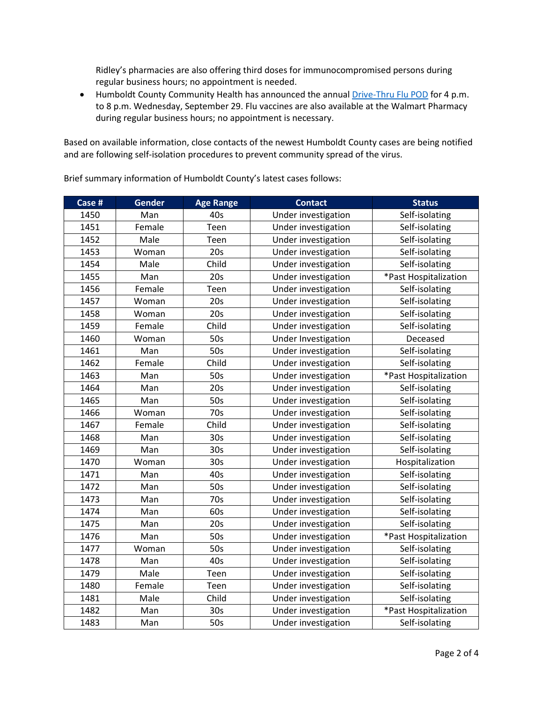Ridley's pharmacies are also offering third doses for immunocompromised persons during regular business hours; no appointment is needed.

• Humboldt County Community Health has announced the annual [Drive-Thru Flu POD](https://www.humboldtcountynv.gov/DocumentCenter/View/5644/All-Humboldt-County-Residents-Encouraged-to-Participate-in-Drive-Thru-Flu-Shot-Clinic0821) for 4 p.m. to 8 p.m. Wednesday, September 29. Flu vaccines are also available at the Walmart Pharmacy during regular business hours; no appointment is necessary.

Based on available information, close contacts of the newest Humboldt County cases are being notified and are following self-isolation procedures to prevent community spread of the virus.

**Case # Gender Age Range 1 <b>Contact Contact Status** 1450 | Man | 40s | Under investigation | Self-isolating 1451 | Female | Teen | Under investigation | Self-isolating 1452 | Male | Teen | Under investigation | Self-isolating 1453 | Woman | 20s | Under investigation | Self-isolating 1454 | Male | Child | Under investigation | Self-isolating 1455 | Man | 20s | Under investigation | \*Past Hospitalization 1456 Female Teen Under investigation Self-isolating 1457 | Woman | 20s | Under investigation | Self-isolating 1458 | Woman | 20s | Under investigation | Self-isolating 1459 | Female | Child | Under investigation | Self-isolating 1460 Woman 50s Under Investigation Deceased 1461 | Man | 50s | Under investigation | Self-isolating 1462 Female Child | Under investigation | Self-isolating 1463 | Man | 50s | Under investigation | \*Past Hospitalization 1464 | Man | 20s | Under investigation | Self-isolating 1465 | Man | 50s | Under investigation | Self-isolating 1466 Woman 70s | Under investigation | Self-isolating 1467 Female Child Under investigation Self-isolating 1468 | Man | 30s | Under investigation | Self-isolating 1469 | Man | 30s | Under investigation | Self-isolating 1470 | Woman | 30s | Under investigation | Hospitalization 1471 | Man | 40s | Under investigation | Self-isolating 1472 | Man | 50s | Under investigation | Self-isolating 1473 | Man | 70s | Under investigation | Self-isolating 1474 | Man | 60s | Under investigation | Self-isolating 1475 | Man | 20s | Under investigation | Self-isolating 1476 | Man | 50s | Under investigation | \*Past Hospitalization 1477 | Woman | 50s | Under investigation | Self-isolating 1478 | Man | 40s | Under investigation | Self-isolating 1479 | Male | Teen | Under investigation | Self-isolating 1480 Female Teen | Under investigation | Self-isolating 1481 | Male | Child | Under investigation | Self-isolating 1482 | Man | 30s | Under investigation | \*Past Hospitalization 1483 | Man | 50s | Under investigation | Self-isolating

Brief summary information of Humboldt County's latest cases follows: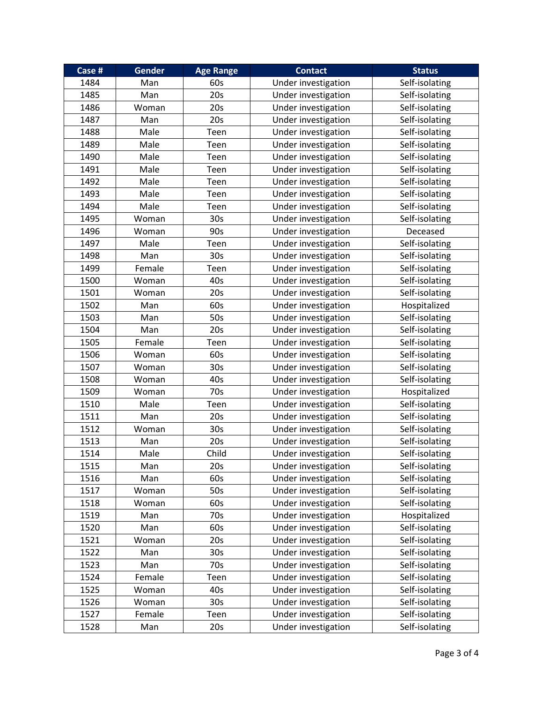| Case # | <b>Gender</b> | <b>Age Range</b> | <b>Contact</b>      | <b>Status</b>  |
|--------|---------------|------------------|---------------------|----------------|
| 1484   | Man           | 60s              | Under investigation | Self-isolating |
| 1485   | Man           | 20s              | Under investigation | Self-isolating |
| 1486   | Woman         | 20s              | Under investigation | Self-isolating |
| 1487   | Man           | 20s              | Under investigation | Self-isolating |
| 1488   | Male          | Teen             | Under investigation | Self-isolating |
| 1489   | Male          | Teen             | Under investigation | Self-isolating |
| 1490   | Male          | Teen             | Under investigation | Self-isolating |
| 1491   | Male          | Teen             | Under investigation | Self-isolating |
| 1492   | Male          | Teen             | Under investigation | Self-isolating |
| 1493   | Male          | Teen             | Under investigation | Self-isolating |
| 1494   | Male          | Teen             | Under investigation | Self-isolating |
| 1495   | Woman         | 30 <sub>s</sub>  | Under investigation | Self-isolating |
| 1496   | Woman         | 90s              | Under investigation | Deceased       |
| 1497   | Male          | Teen             | Under investigation | Self-isolating |
| 1498   | Man           | 30 <sub>s</sub>  | Under investigation | Self-isolating |
| 1499   | Female        | Teen             | Under investigation | Self-isolating |
| 1500   | Woman         | 40s              | Under investigation | Self-isolating |
| 1501   | Woman         | 20s              | Under investigation | Self-isolating |
| 1502   | Man           | 60s              | Under investigation | Hospitalized   |
| 1503   | Man           | 50s              | Under investigation | Self-isolating |
| 1504   | Man           | 20s              | Under investigation | Self-isolating |
| 1505   | Female        | Teen             | Under investigation | Self-isolating |
| 1506   | Woman         | 60s              | Under investigation | Self-isolating |
| 1507   | Woman         | 30 <sub>s</sub>  | Under investigation | Self-isolating |
| 1508   | Woman         | 40s              | Under investigation | Self-isolating |
| 1509   | Woman         | 70s              | Under investigation | Hospitalized   |
| 1510   | Male          | Teen             | Under investigation | Self-isolating |
| 1511   | Man           | 20s              | Under investigation | Self-isolating |
| 1512   | Woman         | 30 <sub>s</sub>  | Under investigation | Self-isolating |
| 1513   | Man           | 20s              | Under investigation | Self-isolating |
| 1514   | Male          | Child            | Under investigation | Self-isolating |
| 1515   | Man           | 20s              | Under investigation | Self-isolating |
| 1516   | Man           | 60s              | Under investigation | Self-isolating |
| 1517   | Woman         | 50s              | Under investigation | Self-isolating |
| 1518   | Woman         | 60s              | Under investigation | Self-isolating |
| 1519   | Man           | 70s              | Under investigation | Hospitalized   |
| 1520   | Man           | 60s              | Under investigation | Self-isolating |
| 1521   | Woman         | 20s              | Under investigation | Self-isolating |
| 1522   | Man           | 30 <sub>s</sub>  | Under investigation | Self-isolating |
| 1523   | Man           | 70s              | Under investigation | Self-isolating |
| 1524   | Female        | Teen             | Under investigation | Self-isolating |
| 1525   | Woman         | 40s              | Under investigation | Self-isolating |
| 1526   | Woman         | 30 <sub>s</sub>  | Under investigation | Self-isolating |
| 1527   | Female        | Teen             | Under investigation | Self-isolating |
| 1528   | Man           | 20s              | Under investigation | Self-isolating |